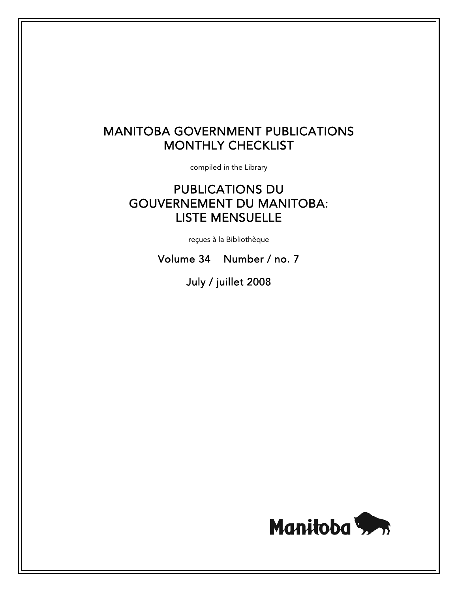# MANITOBA GOVERNMENT PUBLICATIONS MONTHLY CHECKLIST

compiled in the Library

# PUBLICATIONS DU GOUVERNEMENT DU MANITOBA: LISTE MENSUELLE

reçues à la Bibliothèque

Volume 34 Number / no. 7

July / juillet 2008

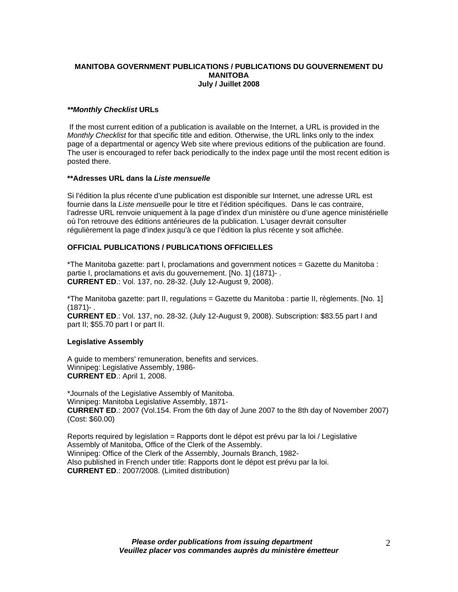#### **MANITOBA GOVERNMENT PUBLICATIONS / PUBLICATIONS DU GOUVERNEMENT DU MANITOBA July / Juillet 2008**

#### *\*\*Monthly Checklist* **URLs**

 If the most current edition of a publication is available on the Internet, a URL is provided in the *Monthly Checklist* for that specific title and edition. Otherwise, the URL links only to the index page of a departmental or agency Web site where previous editions of the publication are found. The user is encouraged to refer back periodically to the index page until the most recent edition is posted there.

#### **\*\*Adresses URL dans la** *Liste mensuelle*

Si l'édition la plus récente d'une publication est disponible sur Internet, une adresse URL est fournie dans la *Liste mensuelle* pour le titre et l'édition spécifiques. Dans le cas contraire, l'adresse URL renvoie uniquement à la page d'index d'un ministère ou d'une agence ministérielle où l'on retrouve des éditions antérieures de la publication. L'usager devrait consulter régulièrement la page d'index jusqu'à ce que l'édition la plus récente y soit affichée.

## **OFFICIAL PUBLICATIONS / PUBLICATIONS OFFICIELLES**

\*The Manitoba gazette: part I, proclamations and government notices = Gazette du Manitoba : partie I, proclamations et avis du gouvernement. [No. 1] (1871)- . **CURRENT ED**.: Vol. 137, no. 28-32. (July 12-August 9, 2008).

\*The Manitoba gazette: part II, regulations = Gazette du Manitoba : partie II, règlements. [No. 1]  $(1871) -$ 

**CURRENT ED**.: Vol. 137, no. 28-32. (July 12-August 9, 2008). Subscription: \$83.55 part I and part II; \$55.70 part I or part II.

#### **Legislative Assembly**

A guide to members' remuneration, benefits and services. Winnipeg: Legislative Assembly, 1986- **CURRENT ED**.: April 1, 2008.

\*Journals of the Legislative Assembly of Manitoba. Winnipeg: Manitoba Legislative Assembly, 1871- **CURRENT ED**.: 2007 (Vol.154. From the 6th day of June 2007 to the 8th day of November 2007) (Cost: \$60.00)

Reports required by legislation = Rapports dont le dépot est prévu par la loi / Legislative Assembly of Manitoba, Office of the Clerk of the Assembly. Winnipeg: Office of the Clerk of the Assembly, Journals Branch, 1982- Also published in French under title: Rapports dont le dépot est prévu par la loi. **CURRENT ED**.: 2007/2008. (Limited distribution)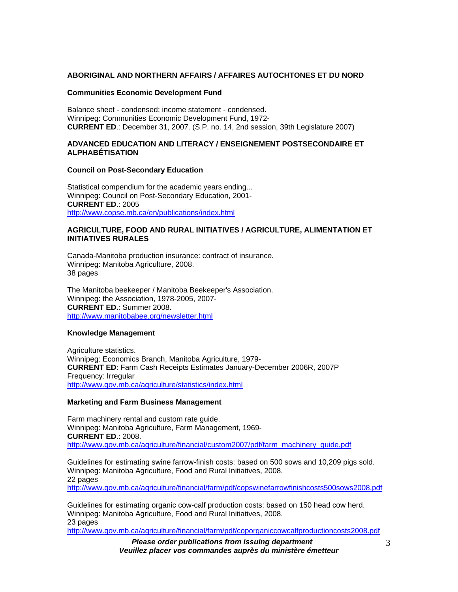#### **ABORIGINAL AND NORTHERN AFFAIRS / AFFAIRES AUTOCHTONES ET DU NORD**

## **Communities Economic Development Fund**

Balance sheet - condensed; income statement - condensed. Winnipeg: Communities Economic Development Fund, 1972- **CURRENT ED**.: December 31, 2007. (S.P. no. 14, 2nd session, 39th Legislature 2007)

## **ADVANCED EDUCATION AND LITERACY / ENSEIGNEMENT POSTSECONDAIRE ET ALPHABÉTISATION**

#### **Council on Post-Secondary Education**

Statistical compendium for the academic years ending... Winnipeg: Council on Post-Secondary Education, 2001- **CURRENT ED**.: 2005 http://www.copse.mb.ca/en/publications/index.html

#### **AGRICULTURE, FOOD AND RURAL INITIATIVES / AGRICULTURE, ALIMENTATION ET INITIATIVES RURALES**

Canada-Manitoba production insurance: contract of insurance. Winnipeg: Manitoba Agriculture, 2008. 38 pages

The Manitoba beekeeper / Manitoba Beekeeper's Association. Winnipeg: the Association, 1978-2005, 2007- **CURRENT ED.**: Summer 2008. http://www.manitobabee.org/newsletter.html

#### **Knowledge Management**

Agriculture statistics. Winnipeg: Economics Branch, Manitoba Agriculture, 1979- **CURRENT ED**: Farm Cash Receipts Estimates January-December 2006R, 2007P Frequency: Irregular http://www.gov.mb.ca/agriculture/statistics/index.html

#### **Marketing and Farm Business Management**

Farm machinery rental and custom rate guide. Winnipeg: Manitoba Agriculture, Farm Management, 1969- **CURRENT ED**.: 2008. http://www.gov.mb.ca/agriculture/financial/custom2007/pdf/farm\_machinery\_quide.pdf

Guidelines for estimating swine farrow-finish costs: based on 500 sows and 10,209 pigs sold. Winnipeg: Manitoba Agriculture, Food and Rural Initiatives, 2008. 22 pages http://www.gov.mb.ca/agriculture/financial/farm/pdf/copswinefarrowfinishcosts500sows2008.pdf

Guidelines for estimating organic cow-calf production costs: based on 150 head cow herd. Winnipeg: Manitoba Agriculture, Food and Rural Initiatives, 2008. 23 pages http://www.gov.mb.ca/agriculture/financial/farm/pdf/coporganiccowcalfproductioncosts2008.pdf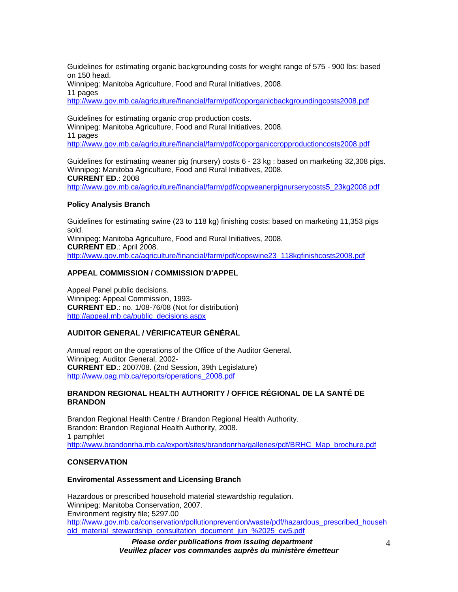Guidelines for estimating organic backgrounding costs for weight range of 575 - 900 lbs: based on 150 head.

Winnipeg: Manitoba Agriculture, Food and Rural Initiatives, 2008.

11 pages

http://www.gov.mb.ca/agriculture/financial/farm/pdf/coporganicbackgroundingcosts2008.pdf

Guidelines for estimating organic crop production costs.

Winnipeg: Manitoba Agriculture, Food and Rural Initiatives, 2008.

11 pages

http://www.gov.mb.ca/agriculture/financial/farm/pdf/coporganiccropproductioncosts2008.pdf

Guidelines for estimating weaner pig (nursery) costs 6 - 23 kg : based on marketing 32,308 pigs. Winnipeg: Manitoba Agriculture, Food and Rural Initiatives, 2008. **CURRENT ED**.: 2008 http://www.gov.mb.ca/agriculture/financial/farm/pdf/copweanerpignurserycosts5\_23kg2008.pdf

## **Policy Analysis Branch**

Guidelines for estimating swine (23 to 118 kg) finishing costs: based on marketing 11,353 pigs sold. Winnipeg: Manitoba Agriculture, Food and Rural Initiatives, 2008. **CURRENT ED**.: April 2008. http://www.gov.mb.ca/agriculture/financial/farm/pdf/copswine23\_118kgfinishcosts2008.pdf

# **APPEAL COMMISSION / COMMISSION D'APPEL**

Appeal Panel public decisions. Winnipeg: Appeal Commission, 1993- **CURRENT ED**.: no. 1/08-76/08 (Not for distribution) http://appeal.mb.ca/public\_decisions.aspx

# **AUDITOR GENERAL / VÉRIFICATEUR GÉNÉRAL**

Annual report on the operations of the Office of the Auditor General. Winnipeg: Auditor General, 2002- **CURRENT ED**.: 2007/08. (2nd Session, 39th Legislature) http://www.oag.mb.ca/reports/operations\_2008.pdf

# **BRANDON REGIONAL HEALTH AUTHORITY / OFFICE RÉGIONAL DE LA SANTÉ DE BRANDON**

Brandon Regional Health Centre / Brandon Regional Health Authority. Brandon: Brandon Regional Health Authority, 2008. 1 pamphlet http://www.brandonrha.mb.ca/export/sites/brandonrha/galleries/pdf/BRHC\_Map\_brochure.pdf

# **CONSERVATION**

# **Enviromental Assessment and Licensing Branch**

Hazardous or prescribed household material stewardship regulation. Winnipeg: Manitoba Conservation, 2007. Environment registry file; 5297.00 http://www.gov.mb.ca/conservation/pollutionprevention/waste/pdf/hazardous\_prescribed\_househ old\_material\_stewardship\_consultation\_document\_jun\_%2025\_cw5.pdf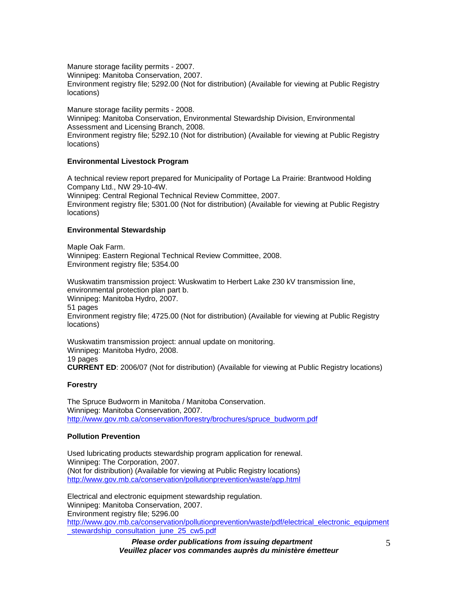Manure storage facility permits - 2007.

Winnipeg: Manitoba Conservation, 2007.

Environment registry file; 5292.00 (Not for distribution) (Available for viewing at Public Registry locations)

Manure storage facility permits - 2008. Winnipeg: Manitoba Conservation, Environmental Stewardship Division, Environmental Assessment and Licensing Branch, 2008. Environment registry file; 5292.10 (Not for distribution) (Available for viewing at Public Registry locations)

# **Environmental Livestock Program**

A technical review report prepared for Municipality of Portage La Prairie: Brantwood Holding Company Ltd., NW 29-10-4W. Winnipeg: Central Regional Technical Review Committee, 2007. Environment registry file; 5301.00 (Not for distribution) (Available for viewing at Public Registry locations)

## **Environmental Stewardship**

Maple Oak Farm. Winnipeg: Eastern Regional Technical Review Committee, 2008. Environment registry file; 5354.00

Wuskwatim transmission project: Wuskwatim to Herbert Lake 230 kV transmission line, environmental protection plan part b. Winnipeg: Manitoba Hydro, 2007. 51 pages Environment registry file; 4725.00 (Not for distribution) (Available for viewing at Public Registry locations)

Wuskwatim transmission project: annual update on monitoring. Winnipeg: Manitoba Hydro, 2008. 19 pages **CURRENT ED**: 2006/07 (Not for distribution) (Available for viewing at Public Registry locations)

# **Forestry**

The Spruce Budworm in Manitoba / Manitoba Conservation. Winnipeg: Manitoba Conservation, 2007. http://www.gov.mb.ca/conservation/forestry/brochures/spruce\_budworm.pdf

# **Pollution Prevention**

Used lubricating products stewardship program application for renewal. Winnipeg: The Corporation, 2007. (Not for distribution) (Available for viewing at Public Registry locations) http://www.gov.mb.ca/conservation/pollutionprevention/waste/app.html

Electrical and electronic equipment stewardship regulation. Winnipeg: Manitoba Conservation, 2007. Environment registry file; 5296.00 http://www.gov.mb.ca/conservation/pollutionprevention/waste/pdf/electrical\_electronic\_equipment \_stewardship\_consultation\_june\_25\_cw5.pdf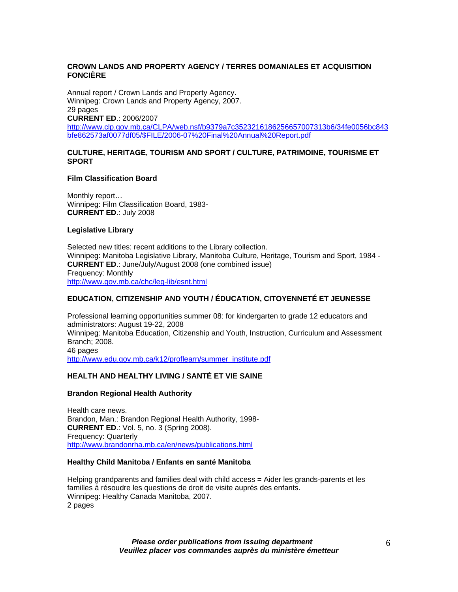### **CROWN LANDS AND PROPERTY AGENCY / TERRES DOMANIALES ET ACQUISITION FONCIÈRE**

Annual report / Crown Lands and Property Agency. Winnipeg: Crown Lands and Property Agency, 2007. 29 pages **CURRENT ED**.: 2006/2007 http://www.clp.gov.mb.ca/CLPA/web.nsf/b9379a7c3523216186256657007313b6/34fe0056bc843 bfe862573af0077df05/\$FILE/2006-07%20Final%20Annual%20Report.pdf

## **CULTURE, HERITAGE, TOURISM AND SPORT / CULTURE, PATRIMOINE, TOURISME ET SPORT**

#### **Film Classification Board**

Monthly report… Winnipeg: Film Classification Board, 1983- **CURRENT ED**.: July 2008

#### **Legislative Library**

Selected new titles: recent additions to the Library collection. Winnipeg: Manitoba Legislative Library, Manitoba Culture, Heritage, Tourism and Sport, 1984 - **CURRENT ED**.: June/July/August 2008 (one combined issue) Frequency: Monthly http://www.gov.mb.ca/chc/leg-lib/esnt.html

# **EDUCATION, CITIZENSHIP AND YOUTH / ÉDUCATION, CITOYENNETÉ ET JEUNESSE**

Professional learning opportunities summer 08: for kindergarten to grade 12 educators and administrators: August 19-22, 2008 Winnipeg: Manitoba Education, Citizenship and Youth, Instruction, Curriculum and Assessment Branch; 2008. 46 pages http://www.edu.gov.mb.ca/k12/proflearn/summer\_institute.pdf

# **HEALTH AND HEALTHY LIVING / SANTÉ ET VIE SAINE**

#### **Brandon Regional Health Authority**

Health care news. Brandon, Man.: Brandon Regional Health Authority, 1998- **CURRENT ED**.: Vol. 5, no. 3 (Spring 2008). Frequency: Quarterly http://www.brandonrha.mb.ca/en/news/publications.html

#### **Healthy Child Manitoba / Enfants en santé Manitoba**

Helping grandparents and families deal with child access = Aider les grands-parents et les familles à résoudre les questions de droit de visite auprés des enfants. Winnipeg: Healthy Canada Manitoba, 2007. 2 pages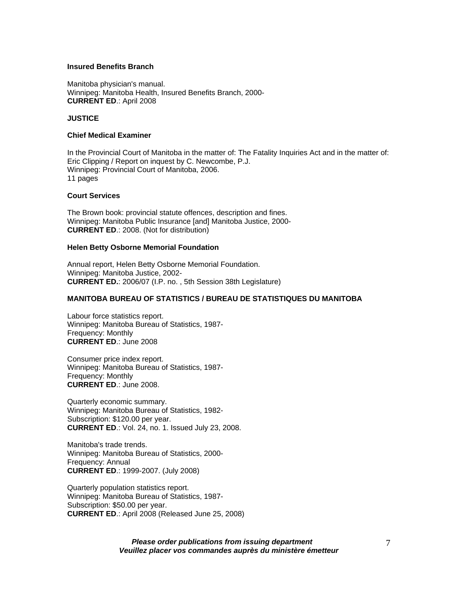#### **Insured Benefits Branch**

Manitoba physician's manual. Winnipeg: Manitoba Health, Insured Benefits Branch, 2000- **CURRENT ED**.: April 2008

## **JUSTICE**

## **Chief Medical Examiner**

In the Provincial Court of Manitoba in the matter of: The Fatality Inquiries Act and in the matter of: Eric Clipping / Report on inquest by C. Newcombe, P.J. Winnipeg: Provincial Court of Manitoba, 2006. 11 pages

#### **Court Services**

The Brown book: provincial statute offences, description and fines. Winnipeg: Manitoba Public Insurance [and] Manitoba Justice, 2000- **CURRENT ED**.: 2008. (Not for distribution)

#### **Helen Betty Osborne Memorial Foundation**

Annual report, Helen Betty Osborne Memorial Foundation. Winnipeg: Manitoba Justice, 2002- **CURRENT ED.**: 2006/07 (I.P. no. , 5th Session 38th Legislature)

#### **MANITOBA BUREAU OF STATISTICS / BUREAU DE STATISTIQUES DU MANITOBA**

Labour force statistics report. Winnipeg: Manitoba Bureau of Statistics, 1987- Frequency: Monthly **CURRENT ED**.: June 2008

Consumer price index report. Winnipeg: Manitoba Bureau of Statistics, 1987- Frequency: Monthly **CURRENT ED**.: June 2008.

Quarterly economic summary. Winnipeg: Manitoba Bureau of Statistics, 1982- Subscription: \$120.00 per year. **CURRENT ED**.: Vol. 24, no. 1. Issued July 23, 2008.

Manitoba's trade trends. Winnipeg: Manitoba Bureau of Statistics, 2000- Frequency: Annual **CURRENT ED**.: 1999-2007. (July 2008)

Quarterly population statistics report. Winnipeg: Manitoba Bureau of Statistics, 1987- Subscription: \$50.00 per year. **CURRENT ED**.: April 2008 (Released June 25, 2008)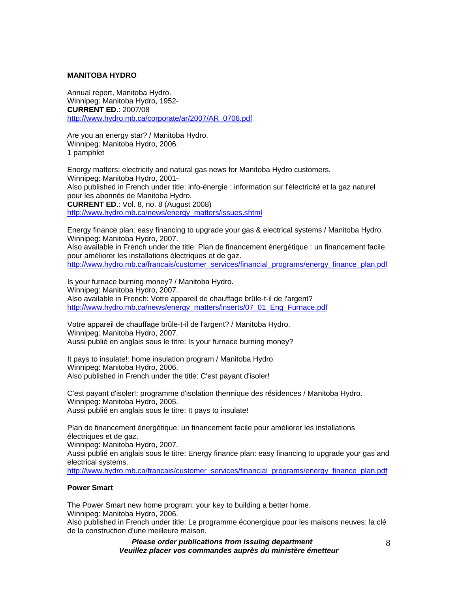#### **MANITOBA HYDRO**

Annual report, Manitoba Hydro. Winnipeg: Manitoba Hydro, 1952- **CURRENT ED**.: 2007/08 http://www.hydro.mb.ca/corporate/ar/2007/AR\_0708.pdf

Are you an energy star? / Manitoba Hydro. Winnipeg: Manitoba Hydro, 2006. 1 pamphlet

Energy matters: electricity and natural gas news for Manitoba Hydro customers. Winnipeg: Manitoba Hydro, 2001- Also published in French under title: info-énergie : information sur l'électricité et la gaz naturel pour les abonnés de Manitoba Hydro. **CURRENT ED**.: Vol. 8, no. 8 (August 2008) http://www.hydro.mb.ca/news/energy\_matters/issues.shtml

Energy finance plan: easy financing to upgrade your gas & electrical systems / Manitoba Hydro. Winnipeg: Manitoba Hydro, 2007.

Also available in French under the title: Plan de financement énergétique : un financement facile pour améliorer les installations électriques et de gaz. http://www.hydro.mb.ca/francais/customer\_services/financial\_programs/energy\_finance\_plan.pdf

Is your furnace burning money? / Manitoba Hydro. Winnipeg: Manitoba Hydro, 2007. Also available in French: Votre appareil de chauffage brûle-t-il de l'argent? http://www.hydro.mb.ca/news/energy\_matters/inserts/07\_01\_Eng\_Furnace.pdf

Votre appareil de chauffage brûle-t-il de l'argent? / Manitoba Hydro. Winnipeg: Manitoba Hydro, 2007. Aussi publié en anglais sous le titre: Is your furnace burning money?

It pays to insulate!: home insulation program / Manitoba Hydro. Winnipeg: Manitoba Hydro, 2006. Also published in French under the title: C'est payant d'isoler!

C'est payant d'isoler!: programme d'isolation thermique des résidences / Manitoba Hydro. Winnipeg: Manitoba Hydro, 2005. Aussi publié en anglais sous le titre: It pays to insulate!

Plan de financement énergétique: un financement facile pour améliorer les installations électriques et de gaz.

Winnipeg: Manitoba Hydro, 2007.

Aussi publié en anglais sous le titre: Energy finance plan: easy financing to upgrade your gas and electrical systems.

http://www.hydro.mb.ca/francais/customer\_services/financial\_programs/energy\_finance\_plan.pdf

#### **Power Smart**

The Power Smart new home program: your key to building a better home. Winnipeg: Manitoba Hydro, 2006.

Also published in French under title: Le programme éconergique pour les maisons neuves: la clé de la construction d'une meilleure maison.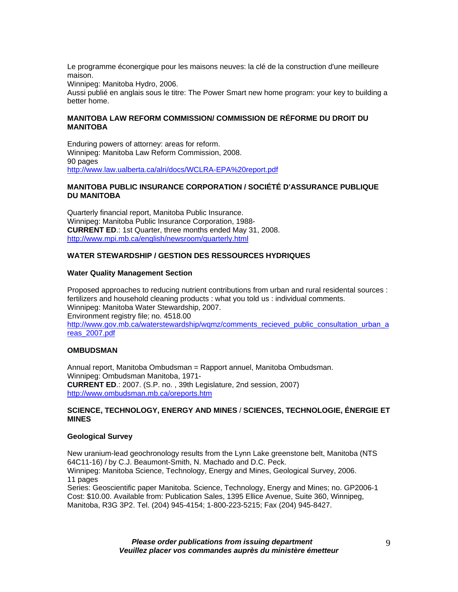Le programme éconergique pour les maisons neuves: la clé de la construction d'une meilleure maison.

Winnipeg: Manitoba Hydro, 2006.

Aussi publié en anglais sous le titre: The Power Smart new home program: your key to building a better home.

## **MANITOBA LAW REFORM COMMISSION/ COMMISSION DE RÉFORME DU DROIT DU MANITOBA**

Enduring powers of attorney: areas for reform. Winnipeg: Manitoba Law Reform Commission, 2008. 90 pages http://www.law.ualberta.ca/alri/docs/WCLRA-EPA%20report.pdf

## **MANITOBA PUBLIC INSURANCE CORPORATION / SOCIÉTÉ D'ASSURANCE PUBLIQUE DU MANITOBA**

Quarterly financial report, Manitoba Public Insurance. Winnipeg: Manitoba Public Insurance Corporation, 1988- **CURRENT ED**.: 1st Quarter, three months ended May 31, 2008. http://www.mpi.mb.ca/english/newsroom/quarterly.html

# **WATER STEWARDSHIP / GESTION DES RESSOURCES HYDRIQUES**

## **Water Quality Management Section**

Proposed approaches to reducing nutrient contributions from urban and rural residental sources : fertilizers and household cleaning products : what you told us : individual comments. Winnipeg: Manitoba Water Stewardship, 2007. Environment registry file; no. 4518.00 http://www.gov.mb.ca/waterstewardship/wqmz/comments\_recieved\_public\_consultation\_urban\_a reas\_2007.pdf

#### **OMBUDSMAN**

Annual report, Manitoba Ombudsman = Rapport annuel, Manitoba Ombudsman. Winnipeg: Ombudsman Manitoba, 1971- **CURRENT ED**.: 2007. (S.P. no. , 39th Legislature, 2nd session, 2007) http://www.ombudsman.mb.ca/oreports.htm

#### **SCIENCE, TECHNOLOGY, ENERGY AND MINES** / **SCIENCES, TECHNOLOGIE, ÉNERGIE ET MINES**

#### **Geological Survey**

New uranium-lead geochronology results from the Lynn Lake greenstone belt, Manitoba (NTS 64C11-16) / by C.J. Beaumont-Smith, N. Machado and D.C. Peck. Winnipeg: Manitoba Science, Technology, Energy and Mines, Geological Survey, 2006. 11 pages Series: Geoscientific paper Manitoba. Science, Technology, Energy and Mines; no. GP2006-1 Cost: \$10.00. Available from: Publication Sales, 1395 Ellice Avenue, Suite 360, Winnipeg,

Manitoba, R3G 3P2. Tel. (204) 945-4154; 1-800-223-5215; Fax (204) 945-8427.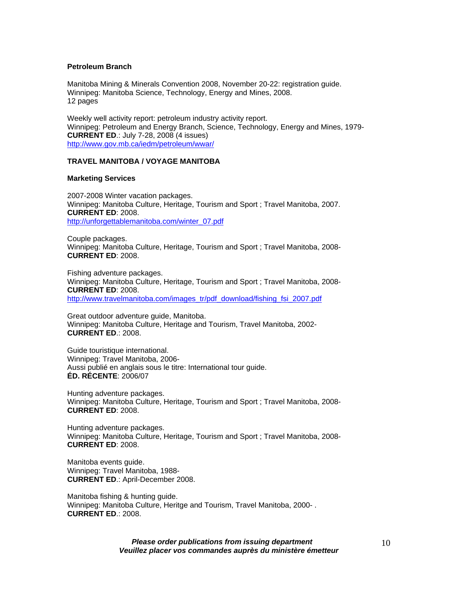#### **Petroleum Branch**

Manitoba Mining & Minerals Convention 2008, November 20-22: registration guide. Winnipeg: Manitoba Science, Technology, Energy and Mines, 2008. 12 pages

Weekly well activity report: petroleum industry activity report. Winnipeg: Petroleum and Energy Branch, Science, Technology, Energy and Mines, 1979- **CURRENT ED**.: July 7-28, 2008 (4 issues) http://www.gov.mb.ca/iedm/petroleum/wwar/

#### **TRAVEL MANITOBA / VOYAGE MANITOBA**

#### **Marketing Services**

2007-2008 Winter vacation packages. Winnipeg: Manitoba Culture, Heritage, Tourism and Sport ; Travel Manitoba, 2007. **CURRENT ED**: 2008. http://unforgettablemanitoba.com/winter\_07.pdf

Couple packages. Winnipeg: Manitoba Culture, Heritage, Tourism and Sport ; Travel Manitoba, 2008- **CURRENT ED**: 2008.

Fishing adventure packages. Winnipeg: Manitoba Culture, Heritage, Tourism and Sport ; Travel Manitoba, 2008- **CURRENT ED**: 2008. http://www.travelmanitoba.com/images\_tr/pdf\_download/fishing\_fsi\_2007.pdf

Great outdoor adventure guide, Manitoba. Winnipeg: Manitoba Culture, Heritage and Tourism, Travel Manitoba, 2002- **CURRENT ED**.: 2008.

Guide touristique international. Winnipeg: Travel Manitoba, 2006- Aussi publié en anglais sous le titre: International tour guide. **ÉD. RÉCENTE**: 2006/07

Hunting adventure packages. Winnipeg: Manitoba Culture, Heritage, Tourism and Sport ; Travel Manitoba, 2008- **CURRENT ED**: 2008.

Hunting adventure packages. Winnipeg: Manitoba Culture, Heritage, Tourism and Sport ; Travel Manitoba, 2008- **CURRENT ED**: 2008.

Manitoba events guide. Winnipeg: Travel Manitoba, 1988- **CURRENT ED**.: April-December 2008.

Manitoba fishing & hunting guide. Winnipeg: Manitoba Culture, Heritge and Tourism, Travel Manitoba, 2000- . **CURRENT ED**.: 2008.